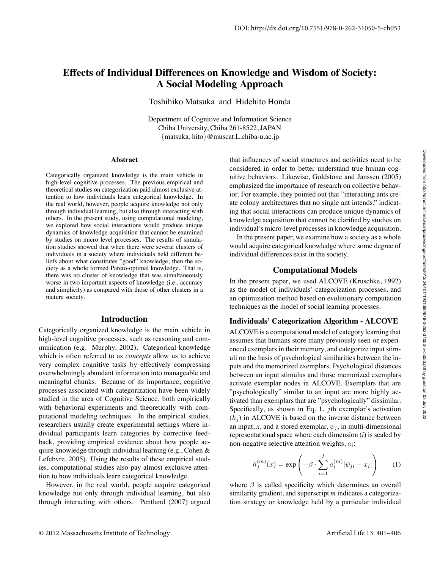# **Effects of Individual Differences on Knowledge and Wisdom of Society: A Social Modeling Approach**

Toshihiko Matsuka and Hidehito Honda

Department of Cognitive and Information Science Chiba University, Chiba 261-8522, JAPAN {matsuka, hito}@muscat.L.chiba-u.ac.jp

#### **Abstract**

Categorically organized knowledge is the main vehicle in high-level cognitive processes. The previous empirical and theoretical studies on categorization paid almost exclusive attention to how individuals learn categorical knowledge. In the real world, however, people acquire knowledge not only through individual learning, but also through interacting with others. In the present study, using computational modeling, we explored how social interactions would produce unique dynamics of knowledge acquisition that cannot be examined by studies on micro level processes. The results of simulation studies showed that when there were several clusters of individuals in a society where individuals held different beliefs about what constitutes "good" knowledge, then the society as a whole formed Pareto-optimal knowledge. That is, there was no cluster of knowledge that was simultaneously worse in two important aspects of knowledge (i.e., accuracy and simplicity) as compared with those of other clusters in a mature society.

#### **Introduction**

Categorically organized knowledge is the main vehicle in high-level cognitive processes, such as reasoning and communication (e.g. Murphy, 2002). Categorical knowledge which is often referred to as *concepts* allow us to achieve very complex cognitive tasks by effectively compressing overwhelmingly abundant information into manageable and meaningful chunks. Because of its importance, cognitive processes associated with categorization have been widely studied in the area of Cognitive Science, both empirically with behavioral experiments and theoretically with computational modeling techniques. In the empirical studies, researchers usually create experimental settings where individual participants learn categories by corrective feedback, providing empirical evidence about how people acquire knowledge through individual learning (e.g., Cohen & Lefebvre, 2005). Using the results of these empirical studies, computational studies also pay almost exclusive attention to how individuals learn categorical knowledge.

However, in the real world, people acquire categorical knowledge not only through individual learning, but also through interacting with others. Pentland (2007) argued

that influences of social structures and activities need to be considered in order to better understand true human cognitive behaviors. Likewise, Goldstone and Janssen (2005) emphasized the importance of research on collective behavior. For example, they pointed out that "interacting ants create colony architectures that no single ant intends," indicating that social interactions can produce unique dynamics of knowledge acquisition that cannot be clarified by studies on individual's micro-level processes in knowledge acquisition.

In the present paper, we examine how a society as a whole would acquire categorical knowledge where some degree of individual differences exist in the society.

### **Computational Models**

In the present paper, we used ALCOVE (Kruschke, 1992) as the model of individuals' categorization processes, and an optimization method based on evolutionary computation techniques as the model of social learning processes.

### **Individuals' Categorization Algorithm - ALCOVE**

ALCOVE is a computational model of category learning that assumes that humans store many previously seen or experienced exemplars in their memory, and categorize input stimuli on the basis of psychological similarities between the inputs and the memorized exemplars. Psychological distances between an input stimulus and those memorized exemplars activate exemplar nodes in ALCOVE. Exemplars that are "psychologically" similar to an input are more highly activated than exemplars that are "psychologically" dissimilar. Specifically, as shown in Eq. 1, jth exemplar's activation  $(h_i)$  in ALCOVE is based on the inverse distance between an input, *x*, and a stored exemplar,  $\psi_i$ , in multi-dimensional representational space where each dimension (*i*) is scaled by non-negative selective attention weights,  $a_i$ :

$$
h_j^{(m)}(x) = \exp\left(-\beta \cdot \sum_{i=1}^I a_i^{(m)} |\psi_{ji} - x_i|\right) \tag{1}
$$

where  $\beta$  is called specificity which determines an overall similarity gradient, and superscript *m* indicates a categorization strategy or knowledge held by a particular individual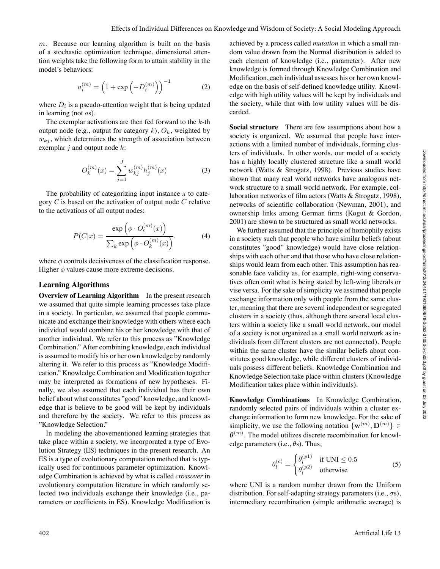$m$ . Because our learning algorithm is built on the basis of a stochastic optimization technique, dimensional attention weights take the following form to attain stability in the model's behaviors:

$$
a_i^{(m)} = \left(1 + \exp\left(-D_i^{(m)}\right)\right)^{-1} \tag{2}
$$

where  $D_i$  is a pseudo-attention weight that is being updated in learning (not as).

The exemplar activations are then fed forward to the  $k$ -th output node (e.g., output for category  $k$ ),  $O_k$ , weighted by  $w_{ki}$ , which determines the strength of association between exemplar  $j$  and output node  $k$ :

$$
O_k^{(m)}(x) = \sum_{j=1}^{J} w_{kj}^{(m)} h_j^{(m)}(x)
$$
 (3)

The probability of categorizing input instance *x* to category *C* is based on the activation of output node C relative to the activations of all output nodes:

$$
P(C|x) = \frac{\exp\left(\phi \cdot O_c^{(m)}(x)\right)}{\sum_k \exp\left(\phi \cdot O_k^{(m)}(x)\right)}.
$$
 (4)

where  $\phi$  controls decisiveness of the classification response. Higher  $\phi$  values cause more extreme decisions.

#### **Learning Algorithms**

**Overview of Learning Algorithm** In the present research we assumed that quite simple learning processes take place in a society. In particular, we assumed that people communicate and exchange their knowledge with others where each individual would combine his or her knowledge with that of another individual. We refer to this process as "Knowledge Combination." After combining knowledge, each individual is assumed to modify his or her own knowledge by randomly altering it. We refer to this process as "Knowledge Modification." Knowledge Combination and Modification together may be interpreted as formations of new hypotheses. Finally, we also assumed that each individual has their own belief about what constitutes "good" knowledge, and knowledge that is believe to be good will be kept by individuals and therefore by the society. We refer to this process as "Knowledge Selection."

In modeling the abovementioned learning strategies that take place within a society, we incorporated a type of Evolution Strategy (ES) techniques in the present research. An ES is a type of evolutionary computation method that is typically used for continuous parameter optimization. Knowledge Combination is achieved by what is called *crossover* in evolutionary computation literature in which randomly selected two individuals exchange their knowledge (i.e., parameters or coefficients in ES). Knowledge Modification is

achieved by a process called *mutation* in which a small random value drawn from the Normal distribution is added to each element of knowledge (i.e., parameter). After new knowledge is formed through Knowledge Combination and Modification, each individual assesses his or her own knowledge on the basis of self-defined knowledge utility. Knowledge with high utility values will be kept by individuals and the society, while that with low utility values will be discarded.

**Social structure** There are few assumptions about how a society is organized. We assumed that people have interactions with a limited number of individuals, forming clusters of individuals. In other words, our model of a society has a highly locally clustered structure like a small world network (Watts & Strogatz, 1998). Previous studies have shown that many real world networks have analogous network structure to a small world network. For example, collaboration networks of film actors (Watts & Strogatz, 1998), networks of scientific collaboration (Newman, 2001), and ownership links among German firms (Kogut & Gordon, 2001) are shown to be structured as small world networks.

We further assumed that the principle of homophily exists in a society such that people who have similar beliefs (about constitutes "good" knowledge) would have close relationships with each other and that those who have close relationships would learn from each other. This assumption has reasonable face validity as, for example, right-wing conservatives often omit what is being stated by left-wing liberals or vise versa. For the sake of simplicity we assumed that people exchange information only with people from the same cluster, meaning that there are several independent or segregated clusters in a society (thus, although there several local clusters within a society like a small world network, our model of a society is not organized as a small world network as individuals from different clusters are not connected). People within the same cluster have the similar beliefs about constitutes good knowledge, while different clusters of individuals possess different beliefs. Knowledge Combination and Knowledge Selection take place within clusters (Knowledge Modification takes place within individuals).

**Knowledge Combinations** In Knowledge Combination, randomly selected pairs of individuals within a cluster exchange information to form new knowledge. For the sake of simplicity, we use the following notation  $\{w^{(m)}, D^{(m)}\} \in$  $\boldsymbol{\theta}^{(m)}$ . The model utilizes discrete recombination for knowledge parameters (i.e.,  $\theta$ s). Thus,

$$
\theta_l^{(c)} = \begin{cases} \theta_l^{(p1)} & \text{if UNI} \le 0.5\\ \theta_l^{(p2)} & \text{otherwise} \end{cases}
$$
 (5)

where UNI is a random number drawn from the Uniform distribution. For self-adapting strategy parameters (i.e.,  $\sigma s$ ), intermediary recombination (simple arithmetic average) is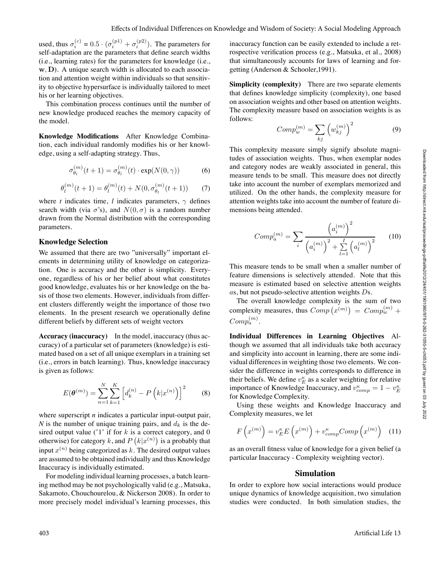used, thus  $\sigma_i^{(c)} = 0.5 \cdot (\sigma_i^{(p1)} + \sigma_i^{(p2)})$ . The parameters for self-adaptation are the parameters that define search widths (i.e., learning rates) for the parameters for knowledge (i.e., w, D). A unique search width is allocated to each association and attention weight within individuals so that sensitivity to objective hypersurface is individually tailored to meet his or her learning objectives.

This combination process continues until the number of new knowledge produced reaches the memory capacity of the model.

**Knowledge Modifications** After Knowledge Combination, each individual randomly modifies his or her knowledge, using a self-adapting strategy. Thus,

$$
\sigma_{\theta_l}^{(m)}(t+1) = \sigma_{\theta_l}^{(m)}(t) \cdot \exp(N(0,\gamma)) \tag{6}
$$

$$
\theta_l^{(m)}(t+1) = \theta_l^{(m)}(t) + N(0, \sigma_{\theta_l}^{(m)}(t+1)) \tag{7}
$$

where *t* indicates time, *l* indicates parameters,  $\gamma$  defines search width (via  $\sigma$ 's), and  $N(0, \sigma)$  is a random number drawn from the Normal distribution with the corresponding parameters.

#### **Knowledge Selection**

We assumed that there are two "universally" important elements in determining utility of knowledge on categorization. One is accuracy and the other is simplicity. Everyone, regardless of his or her belief about what constitutes good knowledge, evaluates his or her knowledge on the basis of those two elements. However, individuals from different clusters differently weight the importance of those two elements. In the present research we operationally define different beliefs by different sets of weight vectors

**Accuracy (inaccuracy)** In the model, inaccuracy (thus accuracy) of a particular set of parameters (knowledge) is estimated based on a set of all unique exemplars in a training set (i.e., errors in batch learning). Thus, knowledge inaccuracy is given as follows:

$$
E(\boldsymbol{\theta}^{(m)}) = \sum_{n=1}^{N} \sum_{k=1}^{K} \left[ d_k^{(n)} - P\left(k|x^{(n)}\right) \right]^2 \tag{8}
$$

where superscript *n* indicates a particular input-output pair, *N* is the number of unique training pairs, and  $d_k$  is the desired output value ('1' if for  $k$  is a correct category, and 0 otherwise) for category k, and  $P(k|x^{(n)})$  is a probably that input  $x^{(n)}$  being categorized as k. The desired output values are assumed to be obtained individually and thus Knowledge Inaccuracy is individually estimated.

For modeling individual learning processes, a batch learning method may be not psychologically valid (e.g., Matsuka, Sakamoto, Chouchourelou, & Nickerson 2008). In order to more precisely model individual's learning processes, this

inaccuracy function can be easily extended to include a retrospective verification process (e.g., Matsuka, et al., 2008) that simultaneously accounts for laws of learning and forgetting (Anderson & Schooler,1991).

**Simplicity (complexity)** There are two separate elements that defines knowledge simplicity (complexity), one based on association weights and other based on attention weights. The complexity measure based on association weights is as follows:

$$
Comp_w^{(m)} = \sum_{kj} \left( w_{kj}^{(m)} \right)^2 \tag{9}
$$

This complexity measure simply signify absolute magnitudes of association weights. Thus, when exemplar nodes and category nodes are weakly associated in general, this measure tends to be small. This measure does not directly take into account the number of exemplars memorized and utilized. On the other hands, the complexity measure for attention weights take into account the number of feature dimensions being attended.

$$
Comp_a^{(m)} = \sum_i \frac{\left(a_i^{(m)}\right)^2}{\left(a_i^{(m)}\right)^2 + \sum_{l=1}^I \left(a_l^{(m)}\right)^2} \qquad (10)
$$

This measure tends to be small when a smaller number of feature dimensions is selectively attended. Note that this measure is estimated based on selective attention weights as, but not pseudo-selective attention weights Ds.

The overall knowledge complexity is the sum of two complexity measures, thus  $Comp(x^{(m)}) = Comp_w^{(m)} +$  $Comp_a^{(m)}$ 

**Individual Differences in Learning Objectives** Although we assumed that all individuals take both accuracy and simplicity into account in learning, there are some individual differences in weighting those two elements. We consider the difference in weights corresponds to difference in their beliefs. We define  $v_E^{\kappa}$  as a scaler weighting for relative importance of Knowledge Inaccuracy, and  $v_{comp}^{\kappa} = 1 - v_{E}^{\kappa}$ for Knowledge Complexity.

Using these weights and Knowledge Inaccuracy and Complexity measures, we let

$$
F\left(x^{(m)}\right) = v_E^{\kappa} E\left(x^{(m)}\right) + v_{comp}^{\kappa} Comp\left(x^{(m)}\right) \quad (11)
$$

as an overall fitness value of knowledge for a given belief (a particular Inaccuracy - Complexity weighting vector).

#### **Simulation**

In order to explore how social interactions would produce unique dynamics of knowledge acquisition, two simulation studies were conducted. In both simulation studies, the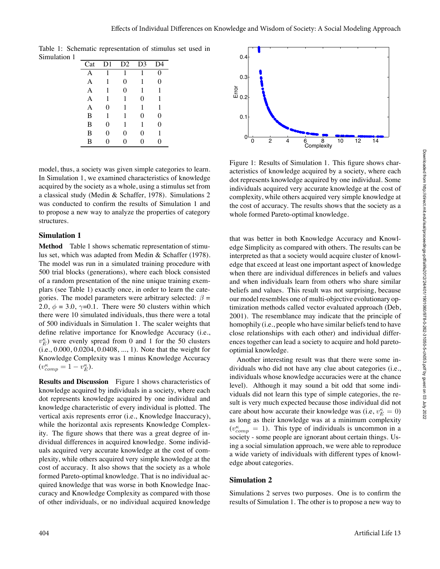Table 1: Schematic representation of stimulus set used in Simulation 1

| Cat | D <sub>1</sub> | D2       | D <sub>3</sub> | $\mathcal{A}$ |
|-----|----------------|----------|----------------|---------------|
|     | 1              | 1        | 1              | 0             |
| А   | 1              | 0        | 1              | 0             |
| А   | 1              | $\Omega$ | 1              | 1             |
| А   | 1              | 1        | 0              | 1             |
| А   | 0              | 1        | 1              | 1             |
| B   | 1              | 1        | 0              | $\theta$      |
| B   | 0              | 1        | 1              | $\Omega$      |
| B   | 0              | 0        | 0              | 1             |
| в   | 0              | 0        | 0              | 0             |

model, thus, a society was given simple categories to learn. In Simulation 1, we examined characteristics of knowledge acquired by the society as a whole, using a stimulus set from a classical study (Medin & Schaffer, 1978). Simulations 2 was conducted to confirm the results of Simulation 1 and to propose a new way to analyze the properties of category structures.

### **Simulation 1**

**Method** Table 1 shows schematic representation of stimulus set, which was adapted from Medin & Schaffer (1978). The model was run in a simulated training procedure with 500 trial blocks (generations), where each block consisted of a random presentation of the nine unique training exemplars (see Table 1) exactly once, in order to learn the categories. The model parameters were arbitrary selected:  $\beta$  = 2.0,  $\phi = 3.0$ ,  $\gamma = 0.1$ . There were 50 clusters within which there were 10 simulated individuals, thus there were a total of 500 individuals in Simulation 1. The scaler weights that define relative importance for Knowledge Accuracy (i.e.,  $v_E^{\kappa}$ ) were evenly spread from 0 and 1 for the 50 clusters (i.e., 0.000, 0.0204, 0.0408, ..., 1). Note that the weight for Knowledge Complexity was 1 minus Knowledge Accuracy  $(v_{comp}^{\kappa} = 1 - v_{E}^{\kappa}).$ 

**Results and Discussion** Figure 1 shows characteristics of knowledge acquired by individuals in a society, where each dot represents knowledge acquired by one individual and knowledge characteristic of every individual is plotted. The vertical axis represents error (i.e., Knowledge Inaccuracy), while the horizontal axis represents Knowledge Complexity. The figure shows that there was a great degree of individual differences in acquired knowledge. Some individuals acquired very accurate knowledge at the cost of complexity, while others acquired very simple knowledge at the cost of accuracy. It also shows that the society as a whole formed Pareto-optimal knowledge. That is no individual acquired knowledge that was worse in both Knowledge Inaccuracy and Knowledge Complexity as compared with those of other individuals, or no individual acquired knowledge



Figure 1: Results of Simulation 1. This figure shows characteristics of knowledge acquired by a society, where each dot represents knowledge acquired by one individual. Some individuals acquired very accurate knowledge at the cost of complexity, while others acquired very simple knowledge at the cost of accuracy. The results shows that the society as a whole formed Pareto-optimal knowledge.

that was better in both Knowledge Accuracy and Knowledge Simplicity as compared with others. The results can be interpreted as that a society would acquire cluster of knowledge that exceed at least one important aspect of knowledge when there are individual differences in beliefs and values and when individuals learn from others who share similar beliefs and values. This result was not surprising, because our model resembles one of multi-objective evolutionary optimization methods called vector evaluated approach (Deb, 2001). The resemblance may indicate that the principle of homophily (i.e., people who have similar beliefs tend to have close relationships with each other) and individual differences together can lead a society to acquire and hold paretooptimial knowledge.

Another interesting result was that there were some individuals who did not have any clue about categories (i.e., individuals whose knowledge accuracies were at the chance level). Although it may sound a bit odd that some individuals did not learn this type of simple categories, the result is very much expected because those individual did not care about how accurate their knowledge was (i.e,  $v_E^{\kappa} = 0$ ) as long as their knowledge was at a minimum complexity  $(v_{comp}^{\kappa} = 1)$ . This type of individuals is uncommon in a society - some people are ignorant about certain things. Using a social simulation approach, we were able to reproduce a wide variety of individuals with different types of knowledge about categories.

### **Simulation 2**

Simulations 2 serves two purposes. One is to confirm the results of Simulation 1. The other is to propose a new way to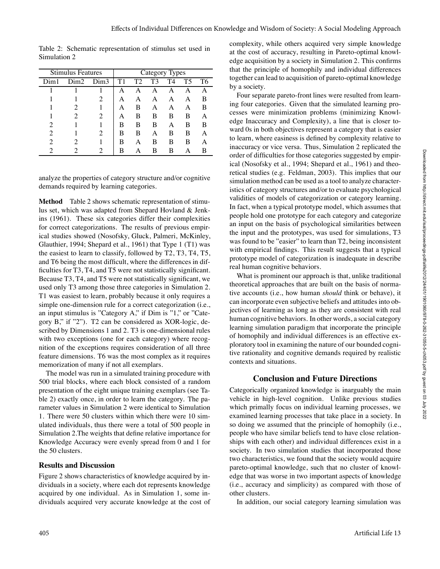Stimulus Features | Category Types Dim1 Dim2 Dim3 T1 T2 T3 T4 T5 T6 1 1 | A A A A A A 1 1 2 | A A A A A B 1 2 1 | A B A A A B 1 2 2 | A B B B B A 2 1 1 | B B B A B B 2 1 2 | B B A B B A 2 2 1 | B A B B B A 2 2 2 | B A B B A B

Table 2: Schematic representation of stimulus set used in Simulation 2

analyze the properties of category structure and/or cognitive demands required by learning categories.

**Method** Table 2 shows schematic representation of stimulus set, which was adapted from Shepard Hovland & Jenkins (1961). These six categories differ their complexities for correct categorizations. The results of previous empirical studies showed (Nosofsky, Gluck, Palmeri, McKinley, Glauthier, 1994; Shepard et al., 1961) that Type 1 (T1) was the easiest to learn to classify, followed by T2, T3, T4, T5, and T6 being the most difficult, where the differences in difficulties for T3, T4, and T5 were not statistically significant. Because T3, T4, and T5 were not statistically significant, we used only T3 among those three categories in Simulation 2. T1 was easiest to learn, probably because it only requires a simple one-dimension rule for a correct categorization (i.e., an input stimulus is "Category A," if Dim is "1," or "Category B," if "2"). T2 can be considered as XOR-logic, described by Dimensions 1 and 2. T3 is one-dimensional rules with two exceptions (one for each category) where recognition of the exceptions requires consideration of all three feature dimensions. T6 was the most complex as it requires memorization of many if not all exemplars.

The model was run in a simulated training procedure with 500 trial blocks, where each block consisted of a random presentation of the eight unique training exemplars (see Table 2) exactly once, in order to learn the category. The parameter values in Simulation 2 were identical to Simulation 1. There were 50 clusters within which there were 10 simulated individuals, thus there were a total of 500 people in Simulation 2.The weights that define relative importance for Knowledge Accuracy were evenly spread from 0 and 1 for the 50 clusters.

#### **Results and Discussion**

Figure 2 shows characteristics of knowledge acquired by individuals in a society, where each dot represents knowledge acquired by one individual. As in Simulation 1, some individuals acquired very accurate knowledge at the cost of

complexity, while others acquired very simple knowledge at the cost of accuracy, resulting in Pareto-optimal knowledge acquisition by a society in Simulation 2. This confirms that the principle of homophily and individual differences together can lead to acquisition of pareto-optimal knowledge by a society.

Four separate pareto-front lines were resulted from learning four categories. Given that the simulated learning processes were minimization problems (minimizing Knowledge Inaccuracy and Complexity), a line that is closer toward 0s in both objectives represent a category that is easier to learn, where easiness is defined by complexity relative to inaccuracy or vice versa. Thus, Simulation 2 replicated the order of difficulties for those categories suggested by empirical (Nosofsky et al., 1994; Shepard et al., 1961) and theoretical studies (e.g. Feldman, 2003). This implies that our simulation method can be used as a tool to analyze characteristics of category structures and/or to evaluate psychological validities of models of categorization or category learning. In fact, when a typical prototype model, which assumes that people hold one prototype for each category and categorize an input on the basis of psychological similarities between the input and the prototypes, was used for simulations, T3 was found to be "easier" to learn than T2, being inconsistent with empirical findings. This result suggests that a typical prototype model of categorization is inadequate in describe real human cognitive behaviors.

What is prominent our approach is that, unlike traditional theoretical approaches that are built on the basis of normative accounts (i.e., how human *should* think or behave), it can incorporate even subjective beliefs and attitudes into objectives of learning as long as they are consistent with real human cognitive behaviors. In other words, a social category learning simulation paradigm that incorporate the principle of homophily and individual differences is an effective exploratory tool in examining the nature of our bounded cognitive rationality and cognitive demands required by realistic contexts and situations.

#### **Conclusion and Future Directions**

Categorically organized knowledge is inarguably the main vehicle in high-level cognition. Unlike previous studies which primally focus on individual learning processes, we examined learning processes that take place in a society. In so doing we assumed that the principle of homophily (i.e., people who have similar beliefs tend to have close relationships with each other) and individual differences exist in a society. In two simulation studies that incorporated those two characteristics, we found that the society would acquire pareto-optimal knowledge, such that no cluster of knowledge that was worse in two important aspects of knowledge (i.e., accuracy and simplicity) as compared with those of other clusters.

In addition, our social category learning simulation was